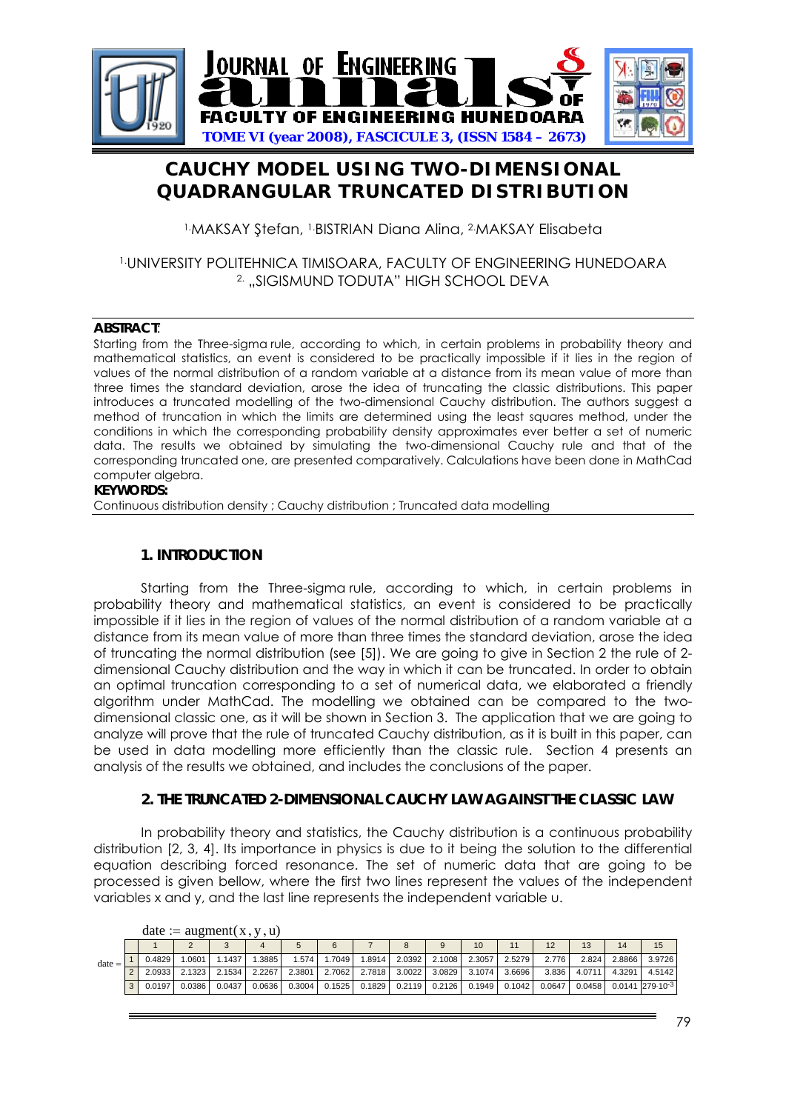

# **CAUCHY MODEL USING TWO-DIMENSIONAL QUADRANGULAR TRUNCATED DISTRIBUTION**

1.MAKSAY Ştefan, 1.BISTRIAN Diana Alina, 2.MAKSAY Elisabeta

1.UNIVERSITY POLITEHNICA TIMISOARA, FACULTY OF ENGINEERING HUNEDOARA <sup>2.</sup> "SIGISMUND TODUTA" HIGH SCHOOL DEVA

### **ABSTRACT**:

Starting from the Three-sigma rule, according to which, in certain problems in probability theory and mathematical statistics, an event is considered to be practically impossible if it lies in the region of values of the normal distribution of a random variable at a distance from its mean value of more than three times the standard deviation, arose the idea of truncating the classic distributions. This paper introduces a truncated modelling of the two-dimensional Cauchy distribution. The authors suggest a method of truncation in which the limits are determined using the least squares method, under the conditions in which the corresponding probability density approximates ever better a set of numeric data. The results we obtained by simulating the two-dimensional Cauchy rule and that of the corresponding truncated one, are presented comparatively. Calculations have been done in MathCad computer algebra.

#### **KEYWORDS:**

Continuous distribution density ; Cauchy distribution ; Truncated data modelling

# **1. INTRODUCTION**

Starting from the Three-sigma rule, according to which, in certain problems in probability theory and mathematical statistics, an event is considered to be practically impossible if it lies in the region of values of the normal distribution of a random variable at a distance from its mean value of more than three times the standard deviation, arose the idea of truncating the normal distribution (see [5]). We are going to give in Section 2 the rule of 2 dimensional Cauchy distribution and the way in which it can be truncated. In order to obtain an optimal truncation corresponding to a set of numerical data, we elaborated a friendly algorithm under MathCad. The modelling we obtained can be compared to the twodimensional classic one, as it will be shown in Section 3. The application that we are going to analyze will prove that the rule of truncated Cauchy distribution, as it is built in this paper, can be used in data modelling more efficiently than the classic rule. Section 4 presents an analysis of the results we obtained, and includes the conclusions of the paper.

#### **2. THE TRUNCATED 2-DIMENSIONAL CAUCHY LAW AGAINST THE CLASSIC LAW**

In probability theory and statistics, the Cauchy distribution is a continuous probability distribution [2, 3, 4]. Its importance in physics is due to it being the solution to the differential equation describing forced resonance. The set of numeric data that are going to be processed is given bellow, where the first two lines represent the values of the independent variables x and y, and the last line represents the independent variable u.

|          | uuw .<br>$\frac{1}{2}$ |        |        |        |        |        |        |        |        |        |        |        |        |        |        |                    |
|----------|------------------------|--------|--------|--------|--------|--------|--------|--------|--------|--------|--------|--------|--------|--------|--------|--------------------|
| $date =$ |                        |        |        |        |        |        |        |        |        |        | 10     |        | 12     |        | 14     | 15                 |
|          |                        | 0.4829 | .0601  | .1437  | .3885  | .574   | 7049،، | .8914  | 2.0392 | 2.1008 | 2.3057 | 2.5279 | 2.776  | 2.824. | 2.8866 | 3.9726             |
|          |                        | 2.0933 | 2.1323 | 2.1534 | 2.2267 | 2.3801 | 2.7062 | 2.7818 | 3.0022 | 3.0829 | 3.1074 | 3.6696 | 3.836  | 4.0711 | 4.3291 | 4.5142             |
|          | 3                      | 0.0197 | 0.0386 | 0.0437 | 0.0636 | 0.3004 | 0.1525 | 0.1829 | 0.2119 | 0.2126 | 0.1949 | 0.1042 | 0.0647 | 0.0458 |        | $0.0141$ t279-10-3 |

 $date := augment(x, v, u)$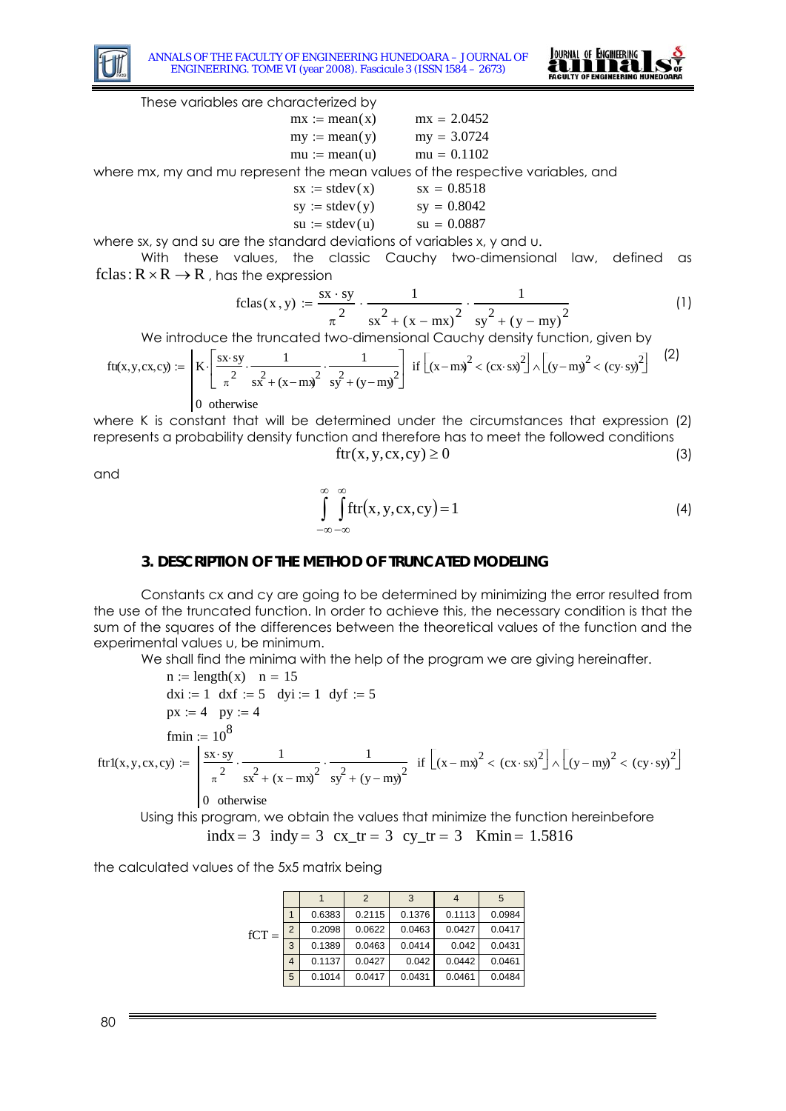

These variables are characterized by

 $mx := mean(x)$   $mx = 2.0452$ <br> $my := mean(y)$   $my = 3.0724$ my := mean(y)  $my = 3.0724$ <br>mu := mean(u)  $my = 0.1102$  $mu := mean(u)$ where mx, my and mu represent the mean values of the respective variables, and  $sx := stdev(x)$   $sx = 0.8518$ <br>  $sv := stdev(v)$   $sv = 0.8042$  $sy := stdev(y)$  $su := stdev(u)$   $su = 0.0887$ where sx, sy and su are the standard deviations of variables x, y and u.

With these values, the classic Cauchy two-dimensional law, defined as  $fclas: R \times R \rightarrow R$ , has the expression

$$
fclas(x, y) := \frac{sx \cdot sy}{\pi^2} \cdot \frac{1}{sx^2 + (x - mx)^2} \cdot \frac{1}{sy^2 + (y - my)^2}
$$
 (1)

We introduce the truncated two-dimensional Cauchy density function, given by

$$
f_{tt}(x,y,cx,cy) := \left[ K \cdot \left[ \frac{s x \cdot s y}{\pi^2} \cdot \frac{1}{s x^2 + (x - m^2)^2} \cdot \frac{1}{s y^2 + (y - m^2)^2} \right] \text{ if } \left[ (x - m^2)^2 < (cx \cdot s x)^2 \right] \wedge \left[ (y - m^2)^2 < (cy \cdot sy)^2 \right] \tag{2}
$$

0 otherwise

where K is constant that will be determined under the circumstances that expression (2) represents a probability density function and therefore has to meet the followed conditions

$$
ftr(x, y, cx, cy) \ge 0
$$
 (3)

and

$$
\int_{-\infty-\infty}^{\infty} \int_{-\infty}^{\infty} ftr(x, y, cx, cy) = 1
$$
 (4)

# **3. DESCRIPTION OF THE METHOD OF TRUNCATED MODELING**

Constants cx and cy are going to be determined by minimizing the error resulted from the use of the truncated function. In order to achieve this, the necessary condition is that the sum of the squares of the differences between the theoretical values of the function and the experimental values u, be minimum.

We shall find the minima with the help of the program we are giving hereinafter.

 $n := length(x)$   $n = 15$  $dxi := 1$   $dxf := 5$   $dyi := 1$   $dyf := 5$  $px := 4$  py := 4 fmin :=  $10^8$  $ftr1(x, y, cx, cy) := \frac{x \cdot sy}{s}$  $\pi^2$ 1  $sx^{2} + (x - mx)^{2}$  $\frac{1}{\sqrt{1-\frac{1}{2}}}$ .  $\frac{x^2}{(y - my)^2}$  $\left[ \frac{sx \cdot sy}{2} \cdot \frac{1}{2} \cdot \frac{1}{2} \cdot \frac{1}{2} \cdot \frac{1}{2} \cdot \frac{1}{2} \cdot \frac{1}{2} \cdot \frac{1}{2} \cdot \frac{1}{2} \cdot \frac{1}{2} \cdot \frac{1}{2} \cdot \frac{1}{2} \cdot \frac{1}{2} \cdot \frac{1}{2} \cdot \frac{1}{2} \cdot \frac{1}{2} \cdot \frac{1}{2} \cdot \frac{1}{2} \cdot \frac{1}{2} \cdot \frac{1}{2} \cdot \frac{1}{2} \cdot \frac{1}{2} \cdot \frac{1}{2} \cdot \frac{1}{2}$ 0 otherwise

Using this program, we obtain the values that minimize the function hereinbefore  $indx = 3$   $indy = 3$   $cx_{tr} = 3$   $cy_{tr} = 3$   $Kmin = 1.5816$ 

the calculated values of the 5x5 matrix being

|         |   |        | $\mathcal{P}$ | 3      |        | 5      |
|---------|---|--------|---------------|--------|--------|--------|
|         |   | 0.6383 | 0.2115        | 0.1376 | 0.1113 | 0.0984 |
| $fCT =$ | 2 | 0.2098 | 0.0622        | 0.0463 | 0.0427 | 0.0417 |
|         | 3 | 0.1389 | 0.0463        | 0.0414 | 0.042  | 0.0431 |
|         | 4 | 0.1137 | 0.0427        | 0.042  | 0.0442 | 0.0461 |
|         | 5 | 0.1014 | 0.0417        | 0.0431 | 0.0461 | 0.0484 |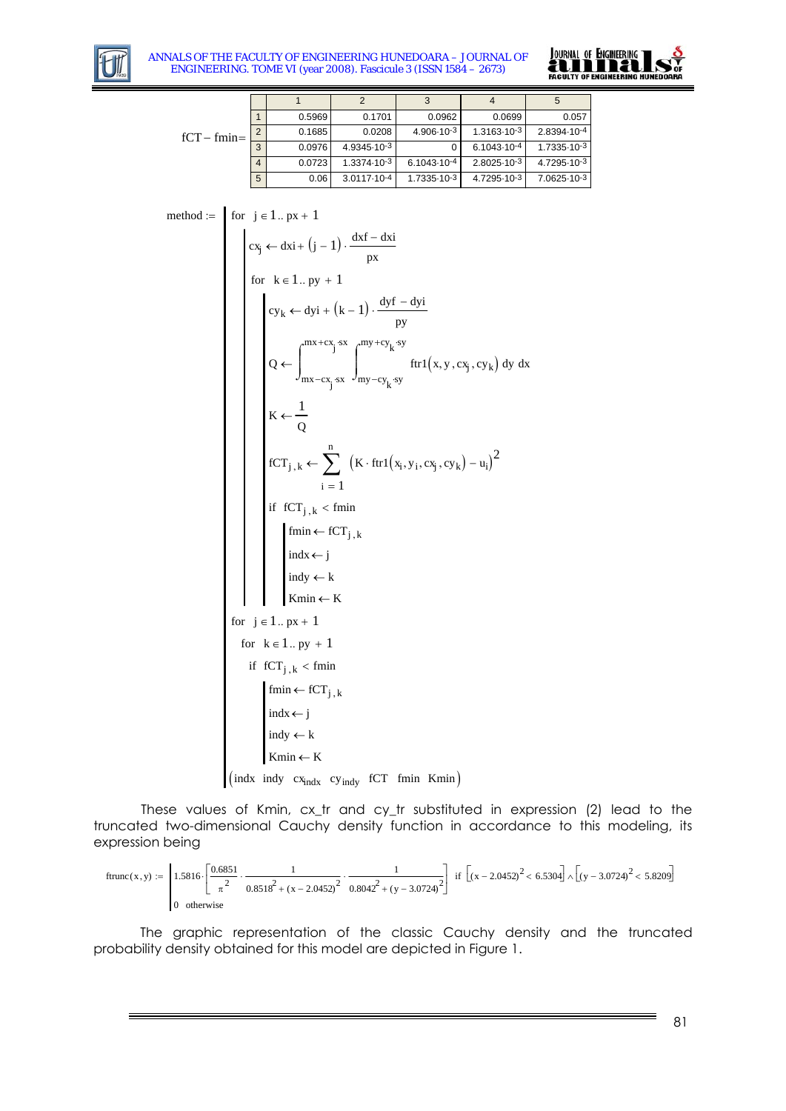

#### ANNALS OF THE FACULTY OF ENGINEERING HUNEDOARA – JOURNAL OF ENGINEERING. TOME VI (year 2008). Fascicule 3 (ISSN 1584 – 2673)



|                |                |        |                        |                        |                        | 5                      |  |
|----------------|----------------|--------|------------------------|------------------------|------------------------|------------------------|--|
|                |                | 0.5969 | 0.1701                 | 0.0962                 | 0.0699                 | 0.057                  |  |
| $fCT - fmin =$ | $\overline{2}$ | 0.1685 | 0.0208                 | $4.906 - 10 - 3$       | $1.3163 \cdot 10^{-3}$ | $2.8394 - 10 - 4$      |  |
|                | 3              | 0.0976 | $4.9345 \cdot 10^{-3}$ |                        | $6.1043 \cdot 10^{-4}$ | $1.7335 \cdot 10^{-3}$ |  |
|                | $\overline{4}$ | 0.0723 | $1.3374 \cdot 10^{-3}$ | $6.1043 \cdot 10^{-4}$ | $2.8025 \cdot 10^{-3}$ | $4.7295 \cdot 10^{-3}$ |  |
|                | 5              | 0.06   | $3.0117.10^{-4}$       | $1.7335.10-3$          | 4.7295-10-3            | $7.0625 \cdot 10^{-3}$ |  |

$$
method := \int for \ j \in 1.. px + 1
$$

$$
cx_{j} \leftarrow dx_{i} + (j - 1) \cdot \frac{dx_{f} - dx_{i}}{px}
$$
\n
$$
for \ k \in 1..py + 1
$$
\n
$$
cy_{k} \leftarrow dy_{i} + (k - 1) \cdot \frac{dy_{f} - dy_{i}}{py}
$$
\n
$$
Q \leftarrow \int_{mx - cx_{j} \cdot sx}^{mx + cx_{j} \cdot sx} \int_{my - cy_{k} \cdot sy}^{my + cy_{k} \cdot sy} frr1(x, y, cx_{j}, cy_{k}) dy dx
$$
\n
$$
K \leftarrow \frac{1}{Q}
$$
\n
$$
fCT_{j,k} \leftarrow \sum_{i=1}^{n} (K \cdot frr1(x_{i}, y_{i}, cx_{j}, cy_{k}) - u_{i})^{2}
$$
\n
$$
if \ tCT_{j,k} < fmin
$$
\n
$$
fmin \leftarrow fCT_{j,k}
$$
\n
$$
indx \leftarrow j
$$
\n
$$
if \ tCT_{j,k} < fmin
$$
\n
$$
if \ tCT_{j,k} < fmin
$$
\n
$$
fint \leftarrow K
$$
\n
$$
fint \leftarrow fCT_{j,k}
$$
\n
$$
if \ tCT_{j,k} < fmin
$$
\n
$$
fint \leftarrow fCT_{j,k}
$$
\n
$$
if \ tCT_{j,k}
$$
\n
$$
if \ tCT_{j,k}
$$
\n
$$
if \ tCT_{j,k}
$$
\n
$$
if \ tCT_{j,k}
$$
\n
$$
if \ tCT_{j,k}
$$
\n
$$
if \ tCT_{j,k}
$$
\n
$$
if \ tCT_{j,k}
$$
\n
$$
if \ tCT_{j,k}
$$
\n
$$
if \ tCT_{j,k}
$$
\n
$$
if \ tCT_{j,k}
$$
\n
$$
if \ tCT_{j,k}
$$
\n
$$
if \ tCT_{j,k}
$$
\n
$$
if \ tCT_{j,k}
$$
\n
$$
if \ tCT_{j,k}
$$
\n
$$
if \ tCT_{j,k}
$$
\n
$$
if \ tCT_{j,k}
$$
\n
$$
if \ tCT_{j,k}
$$
\n
$$
if \ tCT_{j,k}
$$
\n
$$
if
$$

These values of Kmin, cx\_tr and cy\_tr substituted in expression (2) lead to the truncated two-dimensional Cauchy density function in accordance to this modeling, its expression being

$$
\text{ftrunc}(x, y) := \left[ 1.5816 \cdot \left[ \frac{0.6851}{\pi^2} \cdot \frac{1}{0.8518^2 + (x - 2.0452)^2} \cdot \frac{1}{0.8042^2 + (y - 3.0724)^2} \right] \text{ if } \left[ (x - 2.0452)^2 < 6.5304 \right] \wedge \left[ (y - 3.0724)^2 < 5.8209 \right] \wedge \left[ (y - 3.0724)^2 \right] \wedge \left[ (y - 3.0724)^2 < 5.8209 \right] \wedge \left[ (y - 3.0724)^2 \right] \wedge \left[ (y - 3.0724)^2 < 5.8209 \right] \wedge \left[ (y - 3.0724)^2 \right] \wedge \left[ (y - 3.0724)^2 < 5.8209 \right] \wedge \left[ (y - 3.0724)^2 \right] \wedge \left[ (y - 3.0724)^2 < 5.8209 \right] \wedge \left[ (y - 3.0724)^2 \right] \wedge \left[ (y - 3.0724)^2 < 5.8209 \right] \wedge \left[ (y - 3.0724)^2 \right] \wedge \left[ (y - 3.0724)^2 < 5.8209 \right] \wedge \left[ (y - 3.0724)^2 \right] \wedge \left[ (y - 3.0724)^2 < 5.8209 \right] \wedge \left[ (y - 3.0724)^2 \right] \wedge \left[ (y - 3.0724)^2 < 5.8209 \right] \wedge \left[ (y - 3.0724)^2 \right] \wedge \left[ (y - 3.0724)^2 < 5.8209 \right] \wedge \left[ (y - 3.0724)^2 \right] \wedge \left[ (y - 3.0724)^2 < 5.8209 \right] \wedge \left[ (y - 3.0724)^2 < 5.8209 \right] \wedge \left[ (y - 3.0724)^2 < 5.8209 \right] \wedge \left[ (y - 3.0724)^2 < 5.8209 \right] \wedge \left[ (y -
$$

The graphic representation of the classic Cauchy density and the truncated probability density obtained for this model are depicted in Figure 1.